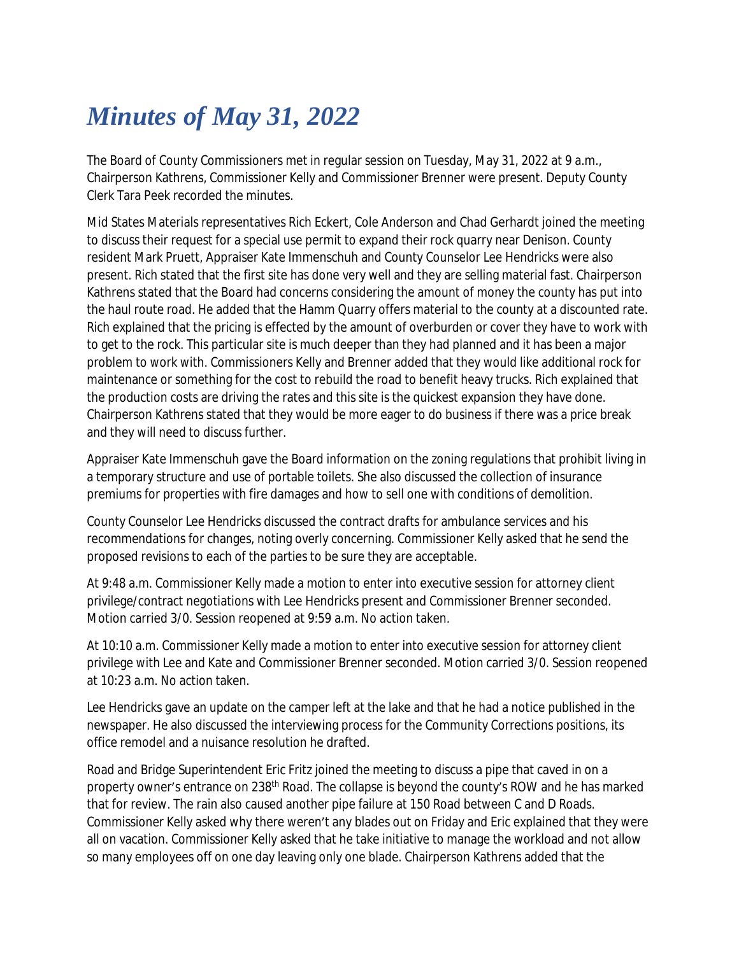## *Minutes of May 31, 2022*

The Board of County Commissioners met in regular session on Tuesday, May 31, 2022 at 9 a.m., Chairperson Kathrens, Commissioner Kelly and Commissioner Brenner were present. Deputy County Clerk Tara Peek recorded the minutes.

Mid States Materials representatives Rich Eckert, Cole Anderson and Chad Gerhardt joined the meeting to discuss their request for a special use permit to expand their rock quarry near Denison. County resident Mark Pruett, Appraiser Kate Immenschuh and County Counselor Lee Hendricks were also present. Rich stated that the first site has done very well and they are selling material fast. Chairperson Kathrens stated that the Board had concerns considering the amount of money the county has put into the haul route road. He added that the Hamm Quarry offers material to the county at a discounted rate. Rich explained that the pricing is effected by the amount of overburden or cover they have to work with to get to the rock. This particular site is much deeper than they had planned and it has been a major problem to work with. Commissioners Kelly and Brenner added that they would like additional rock for maintenance or something for the cost to rebuild the road to benefit heavy trucks. Rich explained that the production costs are driving the rates and this site is the quickest expansion they have done. Chairperson Kathrens stated that they would be more eager to do business if there was a price break and they will need to discuss further.

Appraiser Kate Immenschuh gave the Board information on the zoning regulations that prohibit living in a temporary structure and use of portable toilets. She also discussed the collection of insurance premiums for properties with fire damages and how to sell one with conditions of demolition.

County Counselor Lee Hendricks discussed the contract drafts for ambulance services and his recommendations for changes, noting overly concerning. Commissioner Kelly asked that he send the proposed revisions to each of the parties to be sure they are acceptable.

At 9:48 a.m. Commissioner Kelly made a motion to enter into executive session for attorney client privilege/contract negotiations with Lee Hendricks present and Commissioner Brenner seconded. Motion carried 3/0. Session reopened at 9:59 a.m. No action taken.

At 10:10 a.m. Commissioner Kelly made a motion to enter into executive session for attorney client privilege with Lee and Kate and Commissioner Brenner seconded. Motion carried 3/0. Session reopened at 10:23 a.m. No action taken.

Lee Hendricks gave an update on the camper left at the lake and that he had a notice published in the newspaper. He also discussed the interviewing process for the Community Corrections positions, its office remodel and a nuisance resolution he drafted.

Road and Bridge Superintendent Eric Fritz joined the meeting to discuss a pipe that caved in on a property owner's entrance on 238th Road. The collapse is beyond the county's ROW and he has marked that for review. The rain also caused another pipe failure at 150 Road between C and D Roads. Commissioner Kelly asked why there weren't any blades out on Friday and Eric explained that they were all on vacation. Commissioner Kelly asked that he take initiative to manage the workload and not allow so many employees off on one day leaving only one blade. Chairperson Kathrens added that the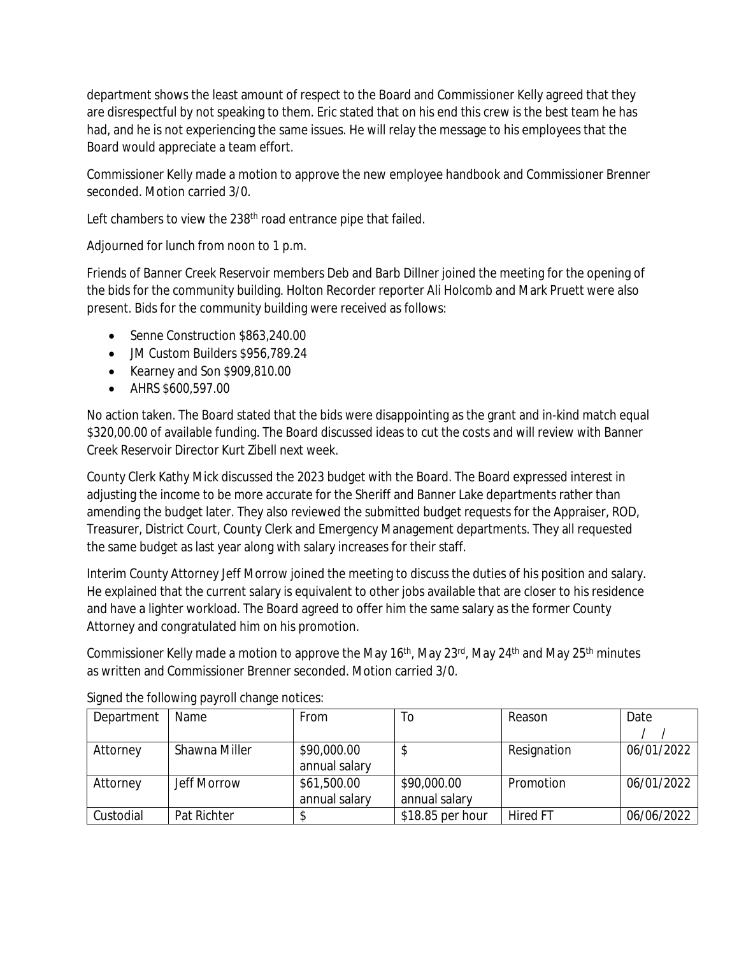department shows the least amount of respect to the Board and Commissioner Kelly agreed that they are disrespectful by not speaking to them. Eric stated that on his end this crew is the best team he has had, and he is not experiencing the same issues. He will relay the message to his employees that the Board would appreciate a team effort.

Commissioner Kelly made a motion to approve the new employee handbook and Commissioner Brenner seconded. Motion carried 3/0.

Left chambers to view the 238<sup>th</sup> road entrance pipe that failed.

Adjourned for lunch from noon to 1 p.m.

Friends of Banner Creek Reservoir members Deb and Barb Dillner joined the meeting for the opening of the bids for the community building. Holton Recorder reporter Ali Holcomb and Mark Pruett were also present. Bids for the community building were received as follows:

- Senne Construction \$863,240.00
- JM Custom Builders \$956,789.24
- Kearney and Son \$909,810.00
- AHRS \$600,597.00

No action taken. The Board stated that the bids were disappointing as the grant and in-kind match equal \$320,00.00 of available funding. The Board discussed ideas to cut the costs and will review with Banner Creek Reservoir Director Kurt Zibell next week.

County Clerk Kathy Mick discussed the 2023 budget with the Board. The Board expressed interest in adjusting the income to be more accurate for the Sheriff and Banner Lake departments rather than amending the budget later. They also reviewed the submitted budget requests for the Appraiser, ROD, Treasurer, District Court, County Clerk and Emergency Management departments. They all requested the same budget as last year along with salary increases for their staff.

Interim County Attorney Jeff Morrow joined the meeting to discuss the duties of his position and salary. He explained that the current salary is equivalent to other jobs available that are closer to his residence and have a lighter workload. The Board agreed to offer him the same salary as the former County Attorney and congratulated him on his promotion.

Commissioner Kelly made a motion to approve the May 16<sup>th</sup>, May 23<sup>rd</sup>, May 24<sup>th</sup> and May 25<sup>th</sup> minutes as written and Commissioner Brenner seconded. Motion carried 3/0.

| Department | Name               | From          | To               | Reason          | Date       |
|------------|--------------------|---------------|------------------|-----------------|------------|
|            |                    |               |                  |                 |            |
| Attorney   | Shawna Miller      | \$90,000.00   |                  | Resignation     | 06/01/2022 |
|            |                    | annual salary |                  |                 |            |
| Attorney   | <b>Jeff Morrow</b> | \$61,500.00   | \$90,000.00      | Promotion       | 06/01/2022 |
|            |                    | annual salary | annual salary    |                 |            |
| Custodial  | Pat Richter        |               | \$18.85 per hour | <b>Hired FT</b> | 06/06/2022 |

Signed the following payroll change notices: